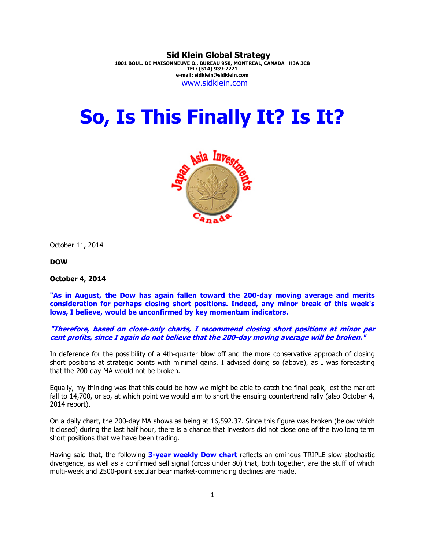**Sid Klein Global Strategy 1001 BOUL. DE MAISONNEUVE O., BUREAU 950, MONTREAL, CANADA H3A 3C8 TEL: (514) 939-2221 e-mail: sidklein@sidklein.com**  www.sidklein.com

## **So, Is This Finally It? Is It?**



October 11, 2014

**DOW**

**October 4, 2014** 

**"As in August, the Dow has again fallen toward the 200-day moving average and merits consideration for perhaps closing short positions. Indeed, any minor break of this week's lows, I believe, would be unconfirmed by key momentum indicators.** 

## **"Therefore, based on close-only charts, I recommend closing short positions at minor per cent profits, since I again do not believe that the 200-day moving average will be broken."**

In deference for the possibility of a 4th-quarter blow off and the more conservative approach of closing short positions at strategic points with minimal gains, I advised doing so (above), as I was forecasting that the 200-day MA would not be broken.

Equally, my thinking was that this could be how we might be able to catch the final peak, lest the market fall to 14,700, or so, at which point we would aim to short the ensuing countertrend rally (also October 4, 2014 report).

On a daily chart, the 200-day MA shows as being at 16,592.37. Since this figure was broken (below which it closed) during the last half hour, there is a chance that investors did not close one of the two long term short positions that we have been trading.

Having said that, the following **3-year weekly Dow chart** reflects an ominous TRIPLE slow stochastic divergence, as well as a confirmed sell signal (cross under 80) that, both together, are the stuff of which multi-week and 2500-point secular bear market-commencing declines are made.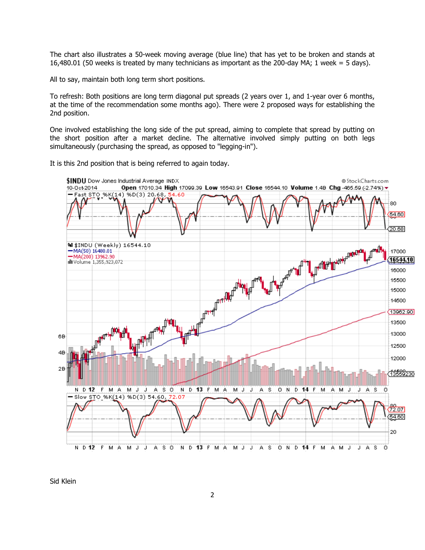The chart also illustrates a 50-week moving average (blue line) that has yet to be broken and stands at 16,480.01 (50 weeks is treated by many technicians as important as the 200-day MA; 1 week = 5 days).

All to say, maintain both long term short positions.

To refresh: Both positions are long term diagonal put spreads (2 years over 1, and 1-year over 6 months, at the time of the recommendation some months ago). There were 2 proposed ways for establishing the 2nd position.

One involved establishing the long side of the put spread, aiming to complete that spread by putting on the short position after a market decline. The alternative involved simply putting on both legs simultaneously (purchasing the spread, as opposed to "legging-in").

It is this 2nd position that is being referred to again today.



Sid Klein